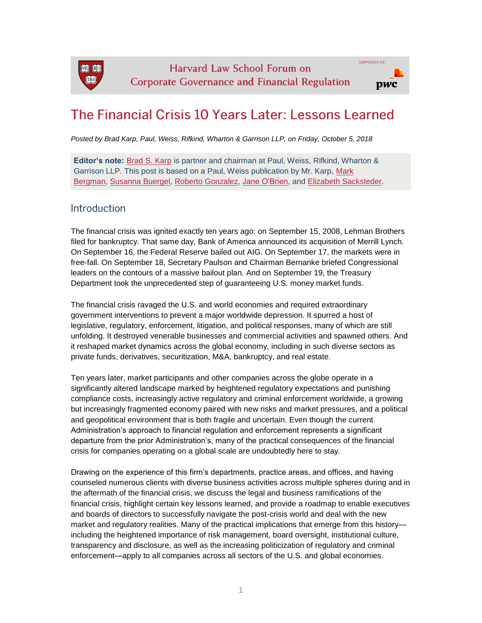

# The Financial Crisis 10 Years Later: Lessons Learned

*Posted by Brad Karp, Paul, Weiss, Rifkind, Wharton & Garrison LLP, on Friday, October 5, 2018*

**Editor's note:** [Brad S. Karp](https://www.paulweiss.com/professionals/partners-and-counsel/brad-s-karp) is partner and chairman at Paul, Weiss, Rifkind, Wharton & Garrison LLP. This post is based on a Paul, Weiss publication by Mr. Karp, [Mark](https://www.paulweiss.com/professionals/partners-and-counsel/mark-s-bergman)  [Bergman,](https://www.paulweiss.com/professionals/partners-and-counsel/mark-s-bergman) [Susanna Buergel,](https://www.paulweiss.com/professionals/partners-and-counsel/susanna-m-buergel) [Roberto Gonzalez,](https://www.paulweiss.com/professionals/partners-and-counsel/roberto-j-gonzalez) [Jane O'Brien,](https://www.paulweiss.com/professionals/partners-and-counsel/jane-b-obrien) and [Elizabeth Sacksteder.](https://www.paulweiss.com/professionals/partners-and-counsel/elizabeth-m-sacksteder)

### Introduction

The financial crisis was ignited exactly ten years ago: on September 15, 2008, Lehman Brothers filed for bankruptcy. That same day, Bank of America announced its acquisition of Merrill Lynch. On September 16, the Federal Reserve bailed out AIG. On September 17, the markets were in free-fall. On September 18, Secretary Paulson and Chairman Bernanke briefed Congressional leaders on the contours of a massive bailout plan. And on September 19, the Treasury Department took the unprecedented step of guaranteeing U.S. money market funds.

The financial crisis ravaged the U.S. and world economies and required extraordinary government interventions to prevent a major worldwide depression. It spurred a host of legislative, regulatory, enforcement, litigation, and political responses, many of which are still unfolding. It destroyed venerable businesses and commercial activities and spawned others. And it reshaped market dynamics across the global economy, including in such diverse sectors as private funds, derivatives, securitization, M&A, bankruptcy, and real estate.

Ten years later, market participants and other companies across the globe operate in a significantly altered landscape marked by heightened regulatory expectations and punishing compliance costs, increasingly active regulatory and criminal enforcement worldwide, a growing but increasingly fragmented economy paired with new risks and market pressures, and a political and geopolitical environment that is both fragile and uncertain. Even though the current Administration's approach to financial regulation and enforcement represents a significant departure from the prior Administration's, many of the practical consequences of the financial crisis for companies operating on a global scale are undoubtedly here to stay.

Drawing on the experience of this firm's departments, practice areas, and offices, and having counseled numerous clients with diverse business activities across multiple spheres during and in the aftermath of the financial crisis, we discuss the legal and business ramifications of the financial crisis, highlight certain key lessons learned, and provide a roadmap to enable executives and boards of directors to successfully navigate the post-crisis world and deal with the new market and regulatory realities. Many of the practical implications that emerge from this history including the heightened importance of risk management, board oversight, institutional culture, transparency and disclosure, as well as the increasing politicization of regulatory and criminal enforcement—apply to all companies across all sectors of the U.S. and global economies.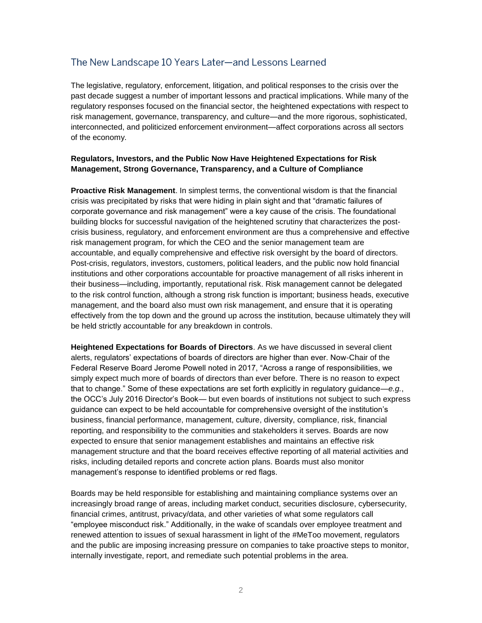## The New Landscape 10 Years Later-and Lessons Learned

The legislative, regulatory, enforcement, litigation, and political responses to the crisis over the past decade suggest a number of important lessons and practical implications. While many of the regulatory responses focused on the financial sector, the heightened expectations with respect to risk management, governance, transparency, and culture—and the more rigorous, sophisticated, interconnected, and politicized enforcement environment—affect corporations across all sectors of the economy.

#### **Regulators, Investors, and the Public Now Have Heightened Expectations for Risk Management, Strong Governance, Transparency, and a Culture of Compliance**

**Proactive Risk Management**. In simplest terms, the conventional wisdom is that the financial crisis was precipitated by risks that were hiding in plain sight and that "dramatic failures of corporate governance and risk management" were a key cause of the crisis. The foundational building blocks for successful navigation of the heightened scrutiny that characterizes the postcrisis business, regulatory, and enforcement environment are thus a comprehensive and effective risk management program, for which the CEO and the senior management team are accountable, and equally comprehensive and effective risk oversight by the board of directors. Post-crisis, regulators, investors, customers, political leaders, and the public now hold financial institutions and other corporations accountable for proactive management of all risks inherent in their business—including, importantly, reputational risk. Risk management cannot be delegated to the risk control function, although a strong risk function is important; business heads, executive management, and the board also must own risk management, and ensure that it is operating effectively from the top down and the ground up across the institution, because ultimately they will be held strictly accountable for any breakdown in controls.

**Heightened Expectations for Boards of Directors**. As we have discussed in several client alerts, regulators' expectations of boards of directors are higher than ever. Now-Chair of the Federal Reserve Board Jerome Powell noted in 2017, "Across a range of responsibilities, we simply expect much more of boards of directors than ever before. There is no reason to expect that to change." Some of these expectations are set forth explicitly in regulatory guidance—*e.g.*, the OCC's July 2016 Director's Book— but even boards of institutions not subject to such express guidance can expect to be held accountable for comprehensive oversight of the institution's business, financial performance, management, culture, diversity, compliance, risk, financial reporting, and responsibility to the communities and stakeholders it serves. Boards are now expected to ensure that senior management establishes and maintains an effective risk management structure and that the board receives effective reporting of all material activities and risks, including detailed reports and concrete action plans. Boards must also monitor management's response to identified problems or red flags.

Boards may be held responsible for establishing and maintaining compliance systems over an increasingly broad range of areas, including market conduct, securities disclosure, cybersecurity, financial crimes, antitrust, privacy/data, and other varieties of what some regulators call "employee misconduct risk." Additionally, in the wake of scandals over employee treatment and renewed attention to issues of sexual harassment in light of the #MeToo movement, regulators and the public are imposing increasing pressure on companies to take proactive steps to monitor, internally investigate, report, and remediate such potential problems in the area.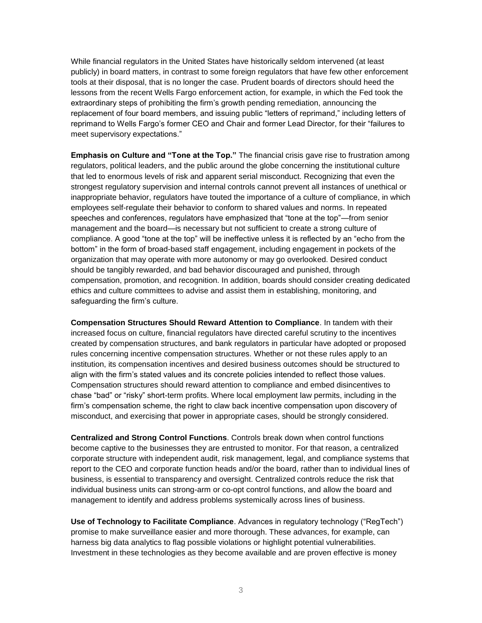While financial regulators in the United States have historically seldom intervened (at least publicly) in board matters, in contrast to some foreign regulators that have few other enforcement tools at their disposal, that is no longer the case. Prudent boards of directors should heed the lessons from the recent Wells Fargo enforcement action, for example, in which the Fed took the extraordinary steps of prohibiting the firm's growth pending remediation, announcing the replacement of four board members, and issuing public "letters of reprimand," including letters of reprimand to Wells Fargo's former CEO and Chair and former Lead Director, for their "failures to meet supervisory expectations."

**Emphasis on Culture and "Tone at the Top."** The financial crisis gave rise to frustration among regulators, political leaders, and the public around the globe concerning the institutional culture that led to enormous levels of risk and apparent serial misconduct. Recognizing that even the strongest regulatory supervision and internal controls cannot prevent all instances of unethical or inappropriate behavior, regulators have touted the importance of a culture of compliance, in which employees self-regulate their behavior to conform to shared values and norms. In repeated speeches and conferences, regulators have emphasized that "tone at the top"—from senior management and the board—is necessary but not sufficient to create a strong culture of compliance. A good "tone at the top" will be ineffective unless it is reflected by an "echo from the bottom" in the form of broad-based staff engagement, including engagement in pockets of the organization that may operate with more autonomy or may go overlooked. Desired conduct should be tangibly rewarded, and bad behavior discouraged and punished, through compensation, promotion, and recognition. In addition, boards should consider creating dedicated ethics and culture committees to advise and assist them in establishing, monitoring, and safeguarding the firm's culture.

**Compensation Structures Should Reward Attention to Compliance**. In tandem with their increased focus on culture, financial regulators have directed careful scrutiny to the incentives created by compensation structures, and bank regulators in particular have adopted or proposed rules concerning incentive compensation structures. Whether or not these rules apply to an institution, its compensation incentives and desired business outcomes should be structured to align with the firm's stated values and its concrete policies intended to reflect those values. Compensation structures should reward attention to compliance and embed disincentives to chase "bad" or "risky" short-term profits. Where local employment law permits, including in the firm's compensation scheme, the right to claw back incentive compensation upon discovery of misconduct, and exercising that power in appropriate cases, should be strongly considered.

**Centralized and Strong Control Functions**. Controls break down when control functions become captive to the businesses they are entrusted to monitor. For that reason, a centralized corporate structure with independent audit, risk management, legal, and compliance systems that report to the CEO and corporate function heads and/or the board, rather than to individual lines of business, is essential to transparency and oversight. Centralized controls reduce the risk that individual business units can strong-arm or co-opt control functions, and allow the board and management to identify and address problems systemically across lines of business.

**Use of Technology to Facilitate Compliance**. Advances in regulatory technology ("RegTech") promise to make surveillance easier and more thorough. These advances, for example, can harness big data analytics to flag possible violations or highlight potential vulnerabilities. Investment in these technologies as they become available and are proven effective is money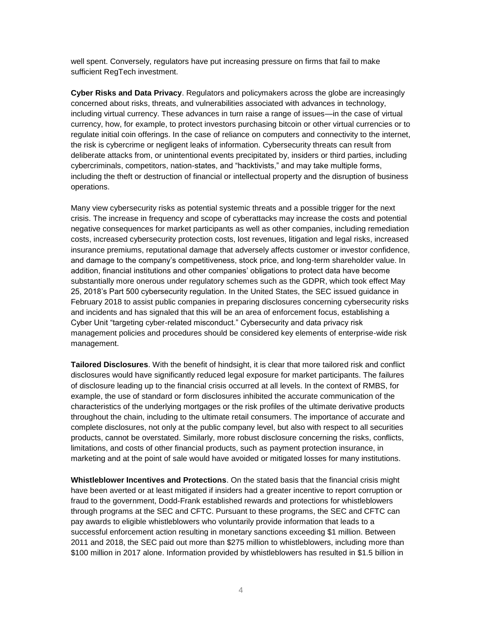well spent. Conversely, regulators have put increasing pressure on firms that fail to make sufficient RegTech investment.

**Cyber Risks and Data Privacy**. Regulators and policymakers across the globe are increasingly concerned about risks, threats, and vulnerabilities associated with advances in technology, including virtual currency. These advances in turn raise a range of issues—in the case of virtual currency, how, for example, to protect investors purchasing bitcoin or other virtual currencies or to regulate initial coin offerings. In the case of reliance on computers and connectivity to the internet, the risk is cybercrime or negligent leaks of information. Cybersecurity threats can result from deliberate attacks from, or unintentional events precipitated by, insiders or third parties, including cybercriminals, competitors, nation-states, and "hacktivists," and may take multiple forms, including the theft or destruction of financial or intellectual property and the disruption of business operations.

Many view cybersecurity risks as potential systemic threats and a possible trigger for the next crisis. The increase in frequency and scope of cyberattacks may increase the costs and potential negative consequences for market participants as well as other companies, including remediation costs, increased cybersecurity protection costs, lost revenues, litigation and legal risks, increased insurance premiums, reputational damage that adversely affects customer or investor confidence, and damage to the company's competitiveness, stock price, and long-term shareholder value. In addition, financial institutions and other companies' obligations to protect data have become substantially more onerous under regulatory schemes such as the GDPR, which took effect May 25, 2018's Part 500 cybersecurity regulation. In the United States, the SEC issued guidance in February 2018 to assist public companies in preparing disclosures concerning cybersecurity risks and incidents and has signaled that this will be an area of enforcement focus, establishing a Cyber Unit "targeting cyber-related misconduct." Cybersecurity and data privacy risk management policies and procedures should be considered key elements of enterprise-wide risk management.

**Tailored Disclosures**. With the benefit of hindsight, it is clear that more tailored risk and conflict disclosures would have significantly reduced legal exposure for market participants. The failures of disclosure leading up to the financial crisis occurred at all levels. In the context of RMBS, for example, the use of standard or form disclosures inhibited the accurate communication of the characteristics of the underlying mortgages or the risk profiles of the ultimate derivative products throughout the chain, including to the ultimate retail consumers. The importance of accurate and complete disclosures, not only at the public company level, but also with respect to all securities products, cannot be overstated. Similarly, more robust disclosure concerning the risks, conflicts, limitations, and costs of other financial products, such as payment protection insurance, in marketing and at the point of sale would have avoided or mitigated losses for many institutions.

**Whistleblower Incentives and Protections**. On the stated basis that the financial crisis might have been averted or at least mitigated if insiders had a greater incentive to report corruption or fraud to the government, Dodd-Frank established rewards and protections for whistleblowers through programs at the SEC and CFTC. Pursuant to these programs, the SEC and CFTC can pay awards to eligible whistleblowers who voluntarily provide information that leads to a successful enforcement action resulting in monetary sanctions exceeding \$1 million. Between 2011 and 2018, the SEC paid out more than \$275 million to whistleblowers, including more than \$100 million in 2017 alone. Information provided by whistleblowers has resulted in \$1.5 billion in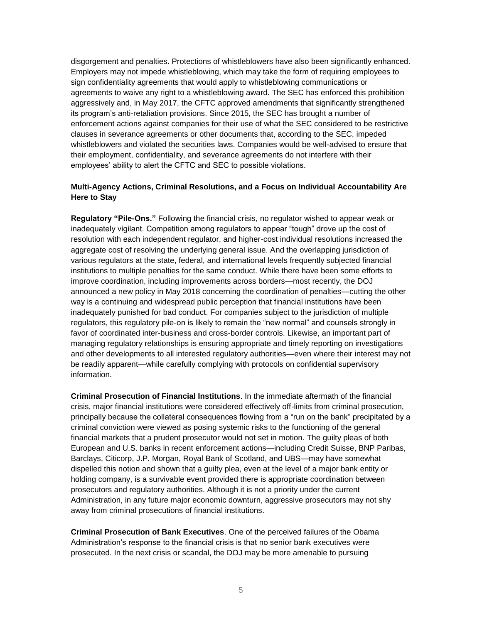disgorgement and penalties. Protections of whistleblowers have also been significantly enhanced. Employers may not impede whistleblowing, which may take the form of requiring employees to sign confidentiality agreements that would apply to whistleblowing communications or agreements to waive any right to a whistleblowing award. The SEC has enforced this prohibition aggressively and, in May 2017, the CFTC approved amendments that significantly strengthened its program's anti-retaliation provisions. Since 2015, the SEC has brought a number of enforcement actions against companies for their use of what the SEC considered to be restrictive clauses in severance agreements or other documents that, according to the SEC, impeded whistleblowers and violated the securities laws. Companies would be well-advised to ensure that their employment, confidentiality, and severance agreements do not interfere with their employees' ability to alert the CFTC and SEC to possible violations.

#### **Multi-Agency Actions, Criminal Resolutions, and a Focus on Individual Accountability Are Here to Stay**

**Regulatory "Pile-Ons."** Following the financial crisis, no regulator wished to appear weak or inadequately vigilant. Competition among regulators to appear "tough" drove up the cost of resolution with each independent regulator, and higher-cost individual resolutions increased the aggregate cost of resolving the underlying general issue. And the overlapping jurisdiction of various regulators at the state, federal, and international levels frequently subjected financial institutions to multiple penalties for the same conduct. While there have been some efforts to improve coordination, including improvements across borders—most recently, the DOJ announced a new policy in May 2018 concerning the coordination of penalties—cutting the other way is a continuing and widespread public perception that financial institutions have been inadequately punished for bad conduct. For companies subject to the jurisdiction of multiple regulators, this regulatory pile-on is likely to remain the "new normal" and counsels strongly in favor of coordinated inter-business and cross-border controls. Likewise, an important part of managing regulatory relationships is ensuring appropriate and timely reporting on investigations and other developments to all interested regulatory authorities—even where their interest may not be readily apparent—while carefully complying with protocols on confidential supervisory information.

**Criminal Prosecution of Financial Institutions**. In the immediate aftermath of the financial crisis, major financial institutions were considered effectively off-limits from criminal prosecution, principally because the collateral consequences flowing from a "run on the bank" precipitated by a criminal conviction were viewed as posing systemic risks to the functioning of the general financial markets that a prudent prosecutor would not set in motion. The guilty pleas of both European and U.S. banks in recent enforcement actions—including Credit Suisse, BNP Paribas, Barclays, Citicorp, J.P. Morgan, Royal Bank of Scotland, and UBS—may have somewhat dispelled this notion and shown that a guilty plea, even at the level of a major bank entity or holding company, is a survivable event provided there is appropriate coordination between prosecutors and regulatory authorities. Although it is not a priority under the current Administration, in any future major economic downturn, aggressive prosecutors may not shy away from criminal prosecutions of financial institutions.

**Criminal Prosecution of Bank Executives**. One of the perceived failures of the Obama Administration's response to the financial crisis is that no senior bank executives were prosecuted. In the next crisis or scandal, the DOJ may be more amenable to pursuing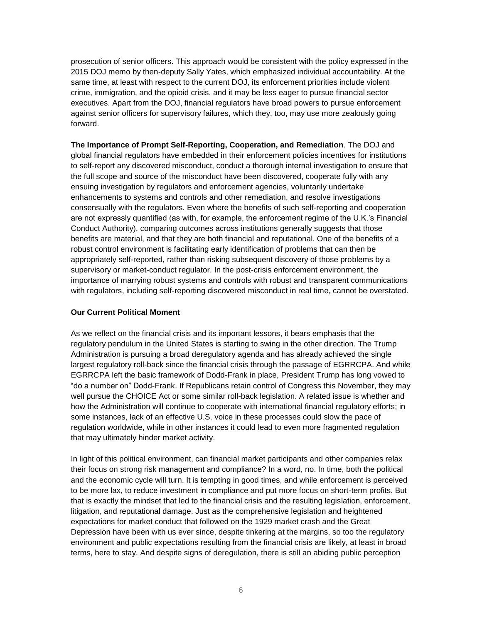prosecution of senior officers. This approach would be consistent with the policy expressed in the 2015 DOJ memo by then-deputy Sally Yates, which emphasized individual accountability. At the same time, at least with respect to the current DOJ, its enforcement priorities include violent crime, immigration, and the opioid crisis, and it may be less eager to pursue financial sector executives. Apart from the DOJ, financial regulators have broad powers to pursue enforcement against senior officers for supervisory failures, which they, too, may use more zealously going forward.

**The Importance of Prompt Self-Reporting, Cooperation, and Remediation**. The DOJ and global financial regulators have embedded in their enforcement policies incentives for institutions to self-report any discovered misconduct, conduct a thorough internal investigation to ensure that the full scope and source of the misconduct have been discovered, cooperate fully with any ensuing investigation by regulators and enforcement agencies, voluntarily undertake enhancements to systems and controls and other remediation, and resolve investigations consensually with the regulators. Even where the benefits of such self-reporting and cooperation are not expressly quantified (as with, for example, the enforcement regime of the U.K.'s Financial Conduct Authority), comparing outcomes across institutions generally suggests that those benefits are material, and that they are both financial and reputational. One of the benefits of a robust control environment is facilitating early identification of problems that can then be appropriately self-reported, rather than risking subsequent discovery of those problems by a supervisory or market-conduct regulator. In the post-crisis enforcement environment, the importance of marrying robust systems and controls with robust and transparent communications with regulators, including self-reporting discovered misconduct in real time, cannot be overstated.

#### **Our Current Political Moment**

As we reflect on the financial crisis and its important lessons, it bears emphasis that the regulatory pendulum in the United States is starting to swing in the other direction. The Trump Administration is pursuing a broad deregulatory agenda and has already achieved the single largest regulatory roll-back since the financial crisis through the passage of EGRRCPA. And while EGRRCPA left the basic framework of Dodd-Frank in place, President Trump has long vowed to "do a number on" Dodd-Frank. If Republicans retain control of Congress this November, they may well pursue the CHOICE Act or some similar roll-back legislation. A related issue is whether and how the Administration will continue to cooperate with international financial regulatory efforts; in some instances, lack of an effective U.S. voice in these processes could slow the pace of regulation worldwide, while in other instances it could lead to even more fragmented regulation that may ultimately hinder market activity.

In light of this political environment, can financial market participants and other companies relax their focus on strong risk management and compliance? In a word, no. In time, both the political and the economic cycle will turn. It is tempting in good times, and while enforcement is perceived to be more lax, to reduce investment in compliance and put more focus on short-term profits. But that is exactly the mindset that led to the financial crisis and the resulting legislation, enforcement, litigation, and reputational damage. Just as the comprehensive legislation and heightened expectations for market conduct that followed on the 1929 market crash and the Great Depression have been with us ever since, despite tinkering at the margins, so too the regulatory environment and public expectations resulting from the financial crisis are likely, at least in broad terms, here to stay. And despite signs of deregulation, there is still an abiding public perception